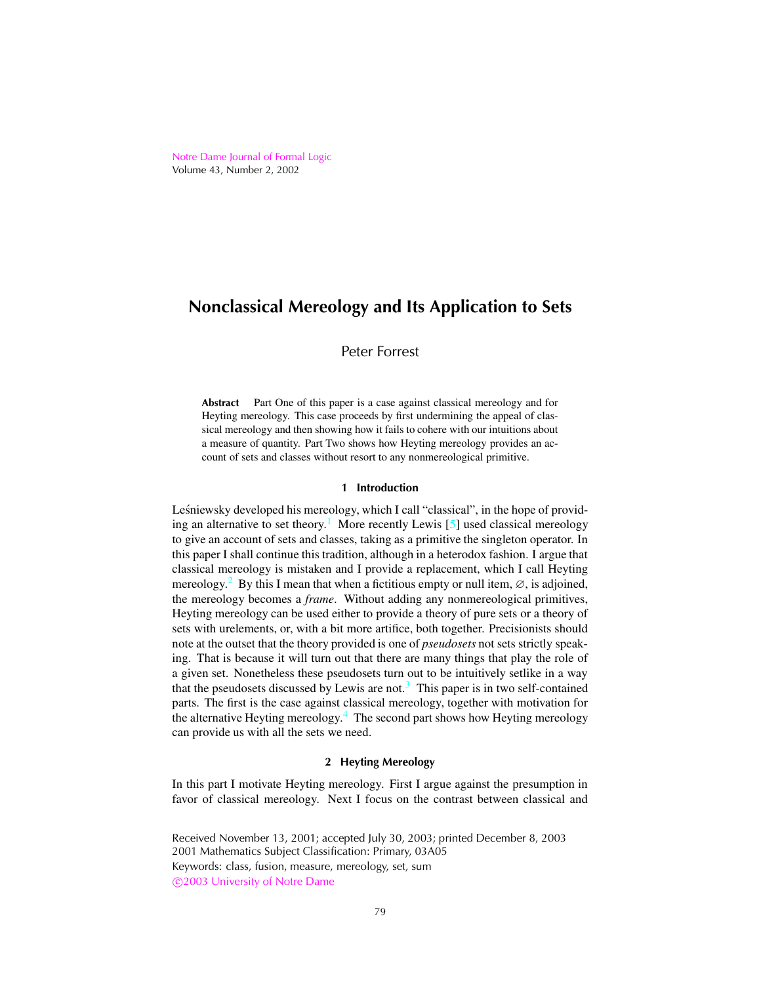<span id="page-0-0"></span>Notre Dame [Journal](http://www.nd.edu/~ndjfl) of Formal Logic Volume 43, Number 2, 2002

# **Nonclassical Mereology and Its Application to Sets**

## Peter Forrest

**Abstract** Part One of this paper is a case against classical mereology and for Heyting mereology. This case proceeds by first undermining the appeal of classical mereology and then showing how it fails to cohere with our intuitions about a measure of quantity. Part Two shows how Heyting mereology provides an account of sets and classes without resort to any nonmereological primitive.

## **1 Introduction**

Leśniewsky developed his mereology, which I call "classical", in the hope of provid-ing an alternative to set theory.<sup>[1](#page-14-0)</sup> More recently Lewis [\[5\]](#page-15-0) used classical mereology to give an account of sets and classes, taking as a primitive the singleton operator. In this paper I shall continue this tradition, although in a heterodox fashion. I argue that classical mereology is mistaken and I provide a replacement, which I call Heyting mereology.<sup>[2](#page-14-0)</sup> By this I mean that when a fictitious empty or null item,  $\varnothing$ , is adjoined, the mereology becomes a *frame*. Without adding any nonmereological primitives, Heyting mereology can be used either to provide a theory of pure sets or a theory of sets with urelements, or, with a bit more artifice, both together. Precisionists should note at the outset that the theory provided is one of *pseudosets* not sets strictly speaking. That is because it will turn out that there are many things that play the role of a given set. Nonetheless these pseudosets turn out to be intuitively setlike in a way that the pseudosets discussed by Lewis are not.<sup>[3](#page-14-0)</sup> This paper is in two self-contained parts. The first is the case against classical mereology, together with motivation for the alternative Heyting mereology. [4](#page-14-0) The second part shows how Heyting mereology can provide us with all the sets we need.

## **2 Heyting Mereology**

In this part I motivate Heyting mereology. First I argue against the presumption in favor of classical mereology. Next I focus on the contrast between classical and

Received November 13, 2001; accepted July 30, 2003; printed December 8, 2003 2001 Mathematics Subject Classification: Primary, 03A05 Keywords: class, fusion, measure, mereology, set, sum c 2003 [University](http://www.nd.edu) of Notre Dame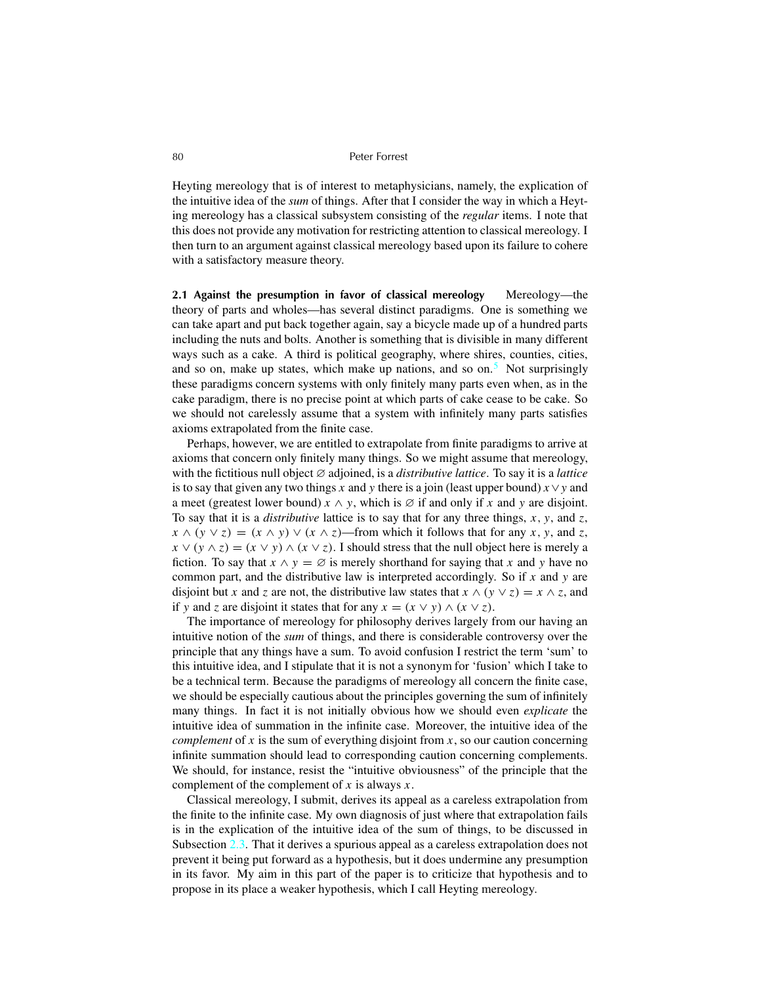<span id="page-1-0"></span>Heyting mereology that is of interest to metaphysicians, namely, the explication of the intuitive idea of the *sum* of things. After that I consider the way in which a Heyting mereology has a classical subsystem consisting of the *regular* items. I note that this does not provide any motivation for restricting attention to classical mereology. I then turn to an argument against classical mereology based upon its failure to cohere with a satisfactory measure theory.

**2.1 Against the presumption in favor of classical mereology** Mereology—the theory of parts and wholes—has several distinct paradigms. One is something we can take apart and put back together again, say a bicycle made up of a hundred parts including the nuts and bolts. Another is something that is divisible in many different ways such as a cake. A third is political geography, where shires, counties, cities, and so on, make up states, which make up nations, and so on.<sup>[5](#page-14-0)</sup> Not surprisingly these paradigms concern systems with only finitely many parts even when, as in the cake paradigm, there is no precise point at which parts of cake cease to be cake. So we should not carelessly assume that a system with infinitely many parts satisfies axioms extrapolated from the finite case.

Perhaps, however, we are entitled to extrapolate from finite paradigms to arrive at axioms that concern only finitely many things. So we might assume that mereology, with the fictitious null object ∅ adjoined, is a *distributive lattice*. To say it is a *lattice* is to say that given any two things x and y there is a join (least upper bound)  $x \vee y$  and a meet (greatest lower bound)  $x \wedge y$ , which is  $\emptyset$  if and only if x and y are disjoint. To say that it is a *distributive* lattice is to say that for any three things, *x*, *y*, and *z*,  $x \wedge (y \vee z) = (x \wedge y) \vee (x \wedge z)$ —from which it follows that for any *x*, *y*, and *z*,  $x \vee (y \wedge z) = (x \vee y) \wedge (x \vee z)$ . I should stress that the null object here is merely a fiction. To say that  $x \wedge y = \emptyset$  is merely shorthand for saying that x and y have no common part, and the distributive law is interpreted accordingly. So if *x* and *y* are disjoint but *x* and *z* are not, the distributive law states that  $x \wedge (y \vee z) = x \wedge z$ , and if *y* and *z* are disjoint it states that for any  $x = (x \lor y) \land (x \lor z)$ .

The importance of mereology for philosophy derives largely from our having an intuitive notion of the *sum* of things, and there is considerable controversy over the principle that any things have a sum. To avoid confusion I restrict the term 'sum' to this intuitive idea, and I stipulate that it is not a synonym for 'fusion' which I take to be a technical term. Because the paradigms of mereology all concern the finite case, we should be especially cautious about the principles governing the sum of infinitely many things. In fact it is not initially obvious how we should even *explicate* the intuitive idea of summation in the infinite case. Moreover, the intuitive idea of the *complement* of x is the sum of everything disjoint from  $x$ , so our caution concerning infinite summation should lead to corresponding caution concerning complements. We should, for instance, resist the "intuitive obviousness" of the principle that the complement of the complement of *x* is always *x*.

Classical mereology, I submit, derives its appeal as a careless extrapolation from the finite to the infinite case. My own diagnosis of just where that extrapolation fails is in the explication of the intuitive idea of the sum of things, to be discussed in Subsection [2.3.](#page-3-0) That it derives a spurious appeal as a careless extrapolation does not prevent it being put forward as a hypothesis, but it does undermine any presumption in its favor. My aim in this part of the paper is to criticize that hypothesis and to propose in its place a weaker hypothesis, which I call Heyting mereology.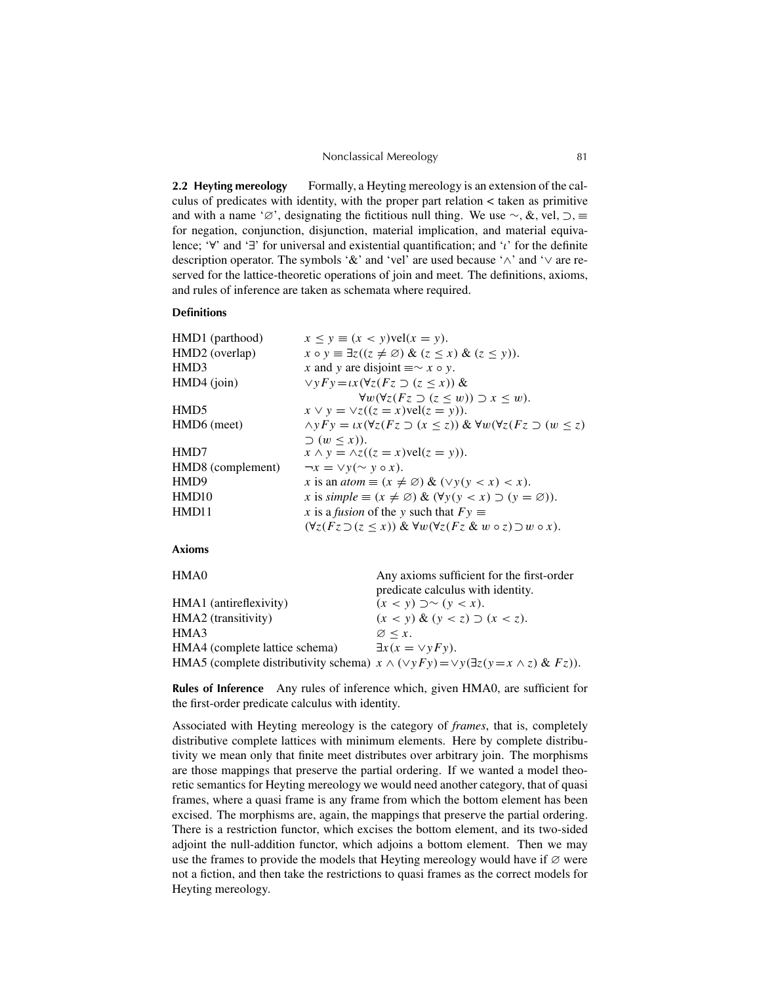**2.2 Heyting mereology** Formally, a Heyting mereology is an extension of the calculus of predicates with identity, with the proper part relation < taken as primitive and with a name '∅', designating the fictitious null thing. We use  $\sim$ , &, vel,  $\supset$ ,  $\equiv$ for negation, conjunction, disjunction, material implication, and material equivalence; ' $\forall$ ' and ' $\exists$ ' for universal and existential quantification; and '*i*' for the definite description operator. The symbols '&' and 'vel' are used because '∧' and '∨ are reserved for the lattice-theoretic operations of join and meet. The definitions, axioms, and rules of inference are taken as schemata where required.

## **Definitions**

| HMD1 (parthood)   | $x \le y \equiv (x \lt y)$ vel $(x = y)$ .                                                                   |
|-------------------|--------------------------------------------------------------------------------------------------------------|
| HMD2 (overlap)    | $x \circ y \equiv \exists z ((z \neq \emptyset) \& (z \leq x) \& (z \leq y)).$                               |
| HMD3              | x and y are disjoint $\equiv \sim x \circ y$ .                                                               |
| HMD4 (join)       | $\vee$ v F y = ix ( $\forall z$ (F z $\supset$ (z < x)) &                                                    |
|                   | $\forall w (\forall z (Fz \supset (z \leq w)) \supset x \leq w).$                                            |
| HMD <sub>5</sub>  | $x \vee y = \vee z((z = x) \text{vel}(z = y)).$                                                              |
| HMD6 (meet)       | $\wedge y F y = \iota x (\forall z (Fz \supset (x \leq z)) \& \forall w (\forall z (Fz \supset (w \leq z)))$ |
|                   | $\supset$ $(w < x)$ ).                                                                                       |
| HMD7              | $x \wedge y = \wedge z((z = x) \text{vel}(z = y)).$                                                          |
| HMD8 (complement) | $\neg x = \vee y (\sim y \circ x).$                                                                          |
| HMD9              | x is an <i>atom</i> $\equiv$ $(x \neq \emptyset)$ & $(\forall y(y < x) < x)$ .                               |
| HMD10             | x is simple $\equiv$ $(x \neq \emptyset)$ & $(\forall y(y < x) \supset (y = \emptyset))$ .                   |
| HMD11             | x is a <i>fusion</i> of the y such that $Fy \equiv$                                                          |
|                   | $(\forall z(Fz\supset (z\leq x)) \& \forall w(\forall z(Fz\& w\circ z)\supset w\circ x).$                    |
|                   |                                                                                                              |

## **Axioms**

| HMA0                           | Any axioms sufficient for the first-order                                                                     |
|--------------------------------|---------------------------------------------------------------------------------------------------------------|
|                                | predicate calculus with identity.                                                                             |
| HMA1 (antireflexivity)         | $(x < y) \supset \sim (y < x).$                                                                               |
| HMA2 (transitivity)            | $(x < y) \& (y < z) \supset (x < z).$                                                                         |
| HMA3                           | $\varnothing \leq x$ .                                                                                        |
| HMA4 (complete lattice schema) | $\exists x(x = \vee \vee Fy).$                                                                                |
|                                | HMA5 (complete distributivity schema) $x \wedge (\vee y F y) = \vee y (\exists z (y = x \wedge z) \& F z)$ ). |

**Rules of Inference** Any rules of inference which, given HMA0, are sufficient for the first-order predicate calculus with identity.

Associated with Heyting mereology is the category of *frames*, that is, completely distributive complete lattices with minimum elements. Here by complete distributivity we mean only that finite meet distributes over arbitrary join. The morphisms are those mappings that preserve the partial ordering. If we wanted a model theoretic semantics for Heyting mereology we would need another category, that of quasi frames, where a quasi frame is any frame from which the bottom element has been excised. The morphisms are, again, the mappings that preserve the partial ordering. There is a restriction functor, which excises the bottom element, and its two-sided adjoint the null-addition functor, which adjoins a bottom element. Then we may use the frames to provide the models that Heyting mereology would have if  $\varnothing$  were not a fiction, and then take the restrictions to quasi frames as the correct models for Heyting mereology.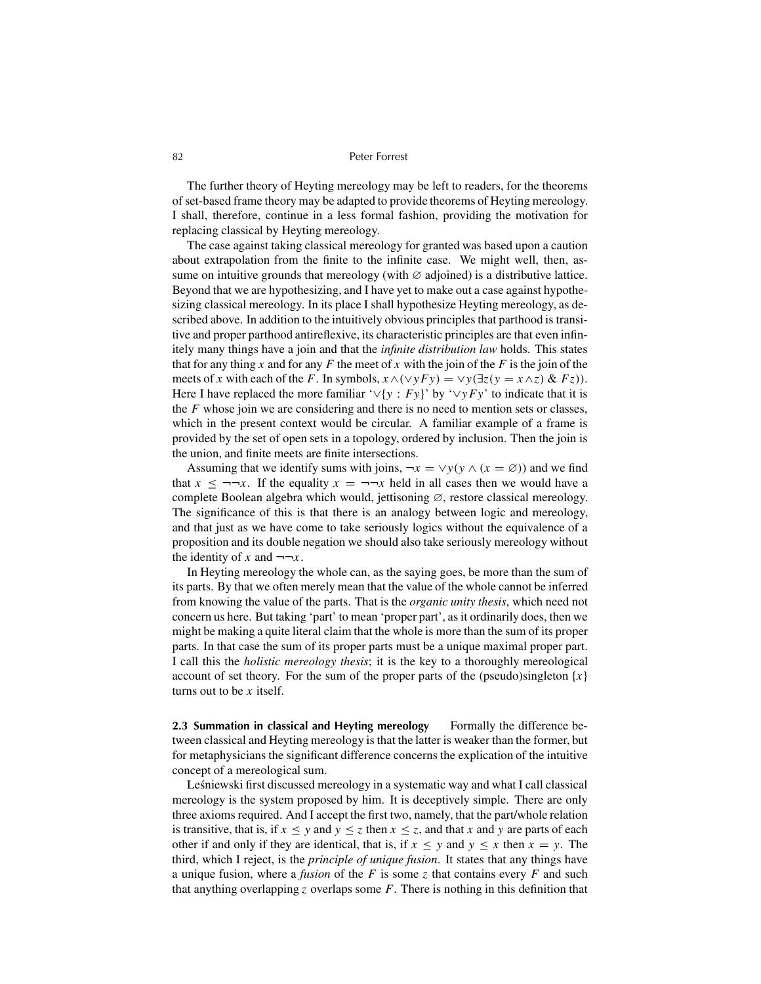<span id="page-3-0"></span>The further theory of Heyting mereology may be left to readers, for the theorems of set-based frame theory may be adapted to provide theorems of Heyting mereology. I shall, therefore, continue in a less formal fashion, providing the motivation for replacing classical by Heyting mereology.

The case against taking classical mereology for granted was based upon a caution about extrapolation from the finite to the infinite case. We might well, then, assume on intuitive grounds that mereology (with  $\varnothing$  adjoined) is a distributive lattice. Beyond that we are hypothesizing, and I have yet to make out a case against hypothesizing classical mereology. In its place I shall hypothesize Heyting mereology, as described above. In addition to the intuitively obvious principles that parthood is transitive and proper parthood antireflexive, its characteristic principles are that even infinitely many things have a join and that the *infinite distribution law* holds. This states that for any thing x and for any F the meet of x with the join of the F is the join of the meets of *x* with each of the *F*. In symbols,  $x \wedge (\vee y F y) = \vee y(\exists z(y = x \wedge z) \& Fz)$ . Here I have replaced the more familiar ' $\vee$ {*y* : *Fy*}' by ' $\vee$ *yFy*' to indicate that it is the *F* whose join we are considering and there is no need to mention sets or classes, which in the present context would be circular. A familiar example of a frame is provided by the set of open sets in a topology, ordered by inclusion. Then the join is the union, and finite meets are finite intersections.

Assuming that we identify sums with joins,  $\neg x = \vee y(y \wedge (x = \emptyset))$  and we find that  $x \leq -x$ . If the equality  $x = -x$  held in all cases then we would have a complete Boolean algebra which would, jettisoning ∅, restore classical mereology. The significance of this is that there is an analogy between logic and mereology, and that just as we have come to take seriously logics without the equivalence of a proposition and its double negation we should also take seriously mereology without the identity of x and  $\neg\neg x$ .

In Heyting mereology the whole can, as the saying goes, be more than the sum of its parts. By that we often merely mean that the value of the whole cannot be inferred from knowing the value of the parts. That is the *organic unity thesis*, which need not concern us here. But taking 'part' to mean 'proper part', as it ordinarily does, then we might be making a quite literal claim that the whole is more than the sum of its proper parts. In that case the sum of its proper parts must be a unique maximal proper part. I call this the *holistic mereology thesis*; it is the key to a thoroughly mereological account of set theory. For the sum of the proper parts of the (pseudo)singleton  $\{x\}$ turns out to be *x* itself.

**2.3 Summation in classical and Heyting mereology** Formally the difference between classical and Heyting mereology is that the latter is weaker than the former, but for metaphysicians the significant difference concerns the explication of the intuitive concept of a mereological sum.

Leśniewski first discussed mereology in a systematic way and what I call classical mereology is the system proposed by him. It is deceptively simple. There are only three axioms required. And I accept the first two, namely, that the part/whole relation is transitive, that is, if  $x \le y$  and  $y \le z$  then  $x \le z$ , and that x and y are parts of each other if and only if they are identical, that is, if  $x \le y$  and  $y \le x$  then  $x = y$ . The third, which I reject, is the *principle of unique fusion*. It states that any things have a unique fusion, where a *fusion* of the *F* is some *z* that contains every *F* and such that anything overlapping  $\zeta$  overlaps some  $F$ . There is nothing in this definition that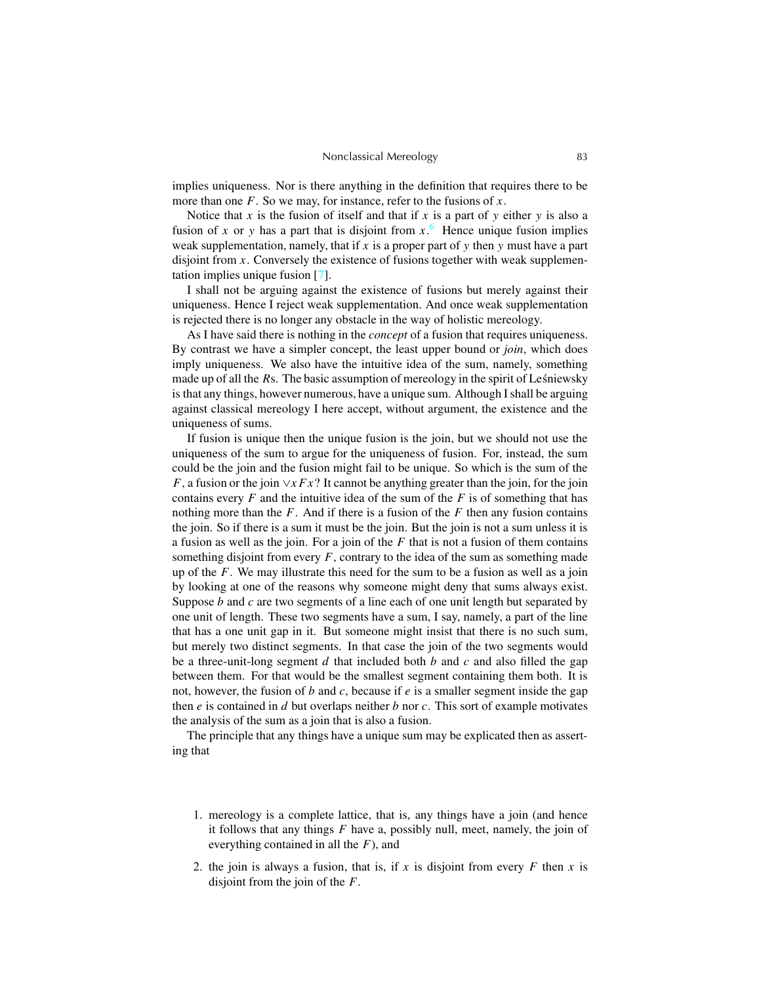<span id="page-4-0"></span>implies uniqueness. Nor is there anything in the definition that requires there to be more than one *F*. So we may, for instance, refer to the fusions of *x*.

Notice that *x* is the fusion of itself and that if *x* is a part of *y* either *y* is also a fusion of *x* or *y* has a part that is disjoint from  $x$ . Hence unique fusion implies weak supplementation, namely, that if *x* is a proper part of *y* then *y* must have a part disjoint from *x*. Conversely the existence of fusions together with weak supplementation implies unique fusion [\[7](#page-15-0)].

I shall not be arguing against the existence of fusions but merely against their uniqueness. Hence I reject weak supplementation. And once weak supplementation is rejected there is no longer any obstacle in the way of holistic mereology.

As I have said there is nothing in the *concept* of a fusion that requires uniqueness. By contrast we have a simpler concept, the least upper bound or *join*, which does imply uniqueness. We also have the intuitive idea of the sum, namely, something made up of all the *Rs*. The basic assumption of mereology in the spirit of Lesniewsky is that any things, however numerous, have a unique sum. Although I shall be arguing against classical mereology I here accept, without argument, the existence and the uniqueness of sums.

If fusion is unique then the unique fusion is the join, but we should not use the uniqueness of the sum to argue for the uniqueness of fusion. For, instead, the sum could be the join and the fusion might fail to be unique. So which is the sum of the *F*, a fusion or the join ∨*xFx*? It cannot be anything greater than the join, for the join contains every *F* and the intuitive idea of the sum of the *F* is of something that has nothing more than the *F*. And if there is a fusion of the *F* then any fusion contains the join. So if there is a sum it must be the join. But the join is not a sum unless it is a fusion as well as the join. For a join of the *F* that is not a fusion of them contains something disjoint from every  $F$ , contrary to the idea of the sum as something made up of the *F*. We may illustrate this need for the sum to be a fusion as well as a join by looking at one of the reasons why someone might deny that sums always exist. Suppose *b* and *c* are two segments of a line each of one unit length but separated by one unit of length. These two segments have a sum, I say, namely, a part of the line that has a one unit gap in it. But someone might insist that there is no such sum, but merely two distinct segments. In that case the join of the two segments would be a three-unit-long segment *d* that included both *b* and *c* and also filled the gap between them. For that would be the smallest segment containing them both. It is not, however, the fusion of *b* and *c*, because if *e* is a smaller segment inside the gap then *e* is contained in *d* but overlaps neither *b* nor *c*. This sort of example motivates the analysis of the sum as a join that is also a fusion.

The principle that any things have a unique sum may be explicated then as asserting that

- 1. mereology is a complete lattice, that is, any things have a join (and hence it follows that any things *F* have a, possibly null, meet, namely, the join of everything contained in all the *F*), and
- 2. the join is always a fusion, that is, if  $x$  is disjoint from every  $F$  then  $x$  is disjoint from the join of the *F*.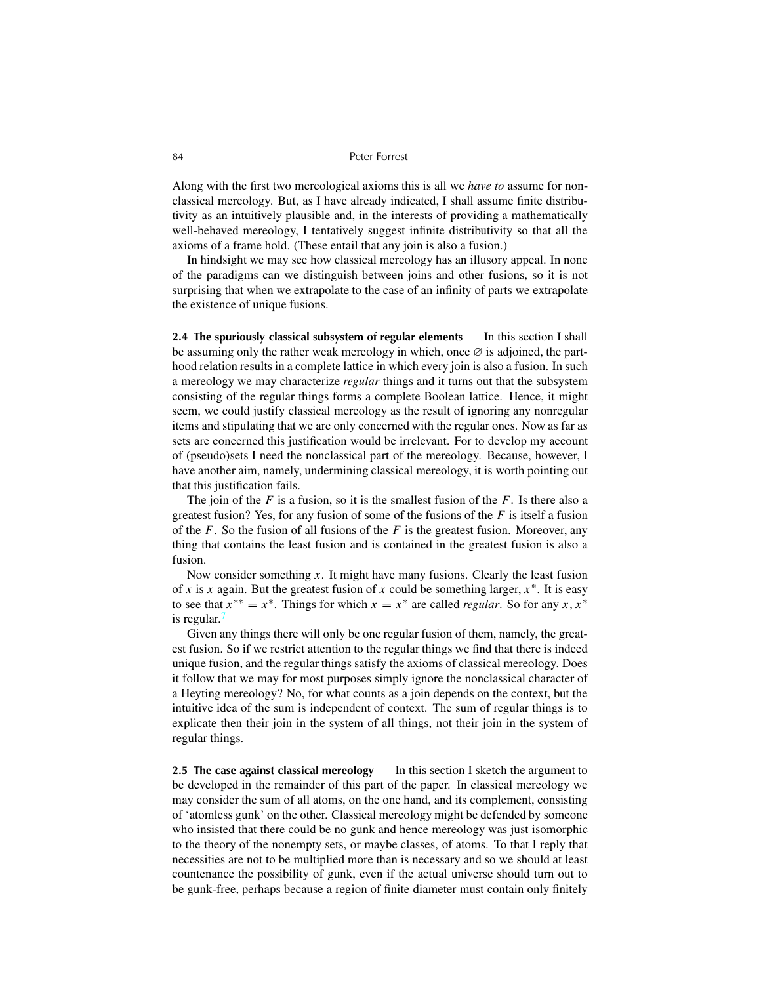<span id="page-5-0"></span>Along with the first two mereological axioms this is all we *have to* assume for nonclassical mereology. But, as I have already indicated, I shall assume finite distributivity as an intuitively plausible and, in the interests of providing a mathematically well-behaved mereology, I tentatively suggest infinite distributivity so that all the axioms of a frame hold. (These entail that any join is also a fusion.)

In hindsight we may see how classical mereology has an illusory appeal. In none of the paradigms can we distinguish between joins and other fusions, so it is not surprising that when we extrapolate to the case of an infinity of parts we extrapolate the existence of unique fusions.

**2.4 The spuriously classical subsystem of regular elements** In this section I shall be assuming only the rather weak mereology in which, once  $\varnothing$  is adjoined, the parthood relation results in a complete lattice in which every join is also a fusion. In such a mereology we may characterize *regular* things and it turns out that the subsystem consisting of the regular things forms a complete Boolean lattice. Hence, it might seem, we could justify classical mereology as the result of ignoring any nonregular items and stipulating that we are only concerned with the regular ones. Now as far as sets are concerned this justification would be irrelevant. For to develop my account of (pseudo)sets I need the nonclassical part of the mereology. Because, however, I have another aim, namely, undermining classical mereology, it is worth pointing out that this justification fails.

The join of the *F* is a fusion, so it is the smallest fusion of the *F*. Is there also a greatest fusion? Yes, for any fusion of some of the fusions of the *F* is itself a fusion of the *F*. So the fusion of all fusions of the *F* is the greatest fusion. Moreover, any thing that contains the least fusion and is contained in the greatest fusion is also a fusion.

Now consider something *x*. It might have many fusions. Clearly the least fusion of *x* is *x* again. But the greatest fusion of *x* could be something larger,  $x^*$ . It is easy to see that  $x^{**} = x^*$ . Things for which  $x = x^*$  are called *regular*. So for any  $x, x^*$ is regular.<sup>[7](#page-14-0)</sup>

Given any things there will only be one regular fusion of them, namely, the greatest fusion. So if we restrict attention to the regular things we find that there is indeed unique fusion, and the regular things satisfy the axioms of classical mereology. Does it follow that we may for most purposes simply ignore the nonclassical character of a Heyting mereology? No, for what counts as a join depends on the context, but the intuitive idea of the sum is independent of context. The sum of regular things is to explicate then their join in the system of all things, not their join in the system of regular things.

**2.5 The case against classical mereology** In this section I sketch the argument to be developed in the remainder of this part of the paper. In classical mereology we may consider the sum of all atoms, on the one hand, and its complement, consisting of 'atomless gunk' on the other. Classical mereology might be defended by someone who insisted that there could be no gunk and hence mereology was just isomorphic to the theory of the nonempty sets, or maybe classes, of atoms. To that I reply that necessities are not to be multiplied more than is necessary and so we should at least countenance the possibility of gunk, even if the actual universe should turn out to be gunk-free, perhaps because a region of finite diameter must contain only finitely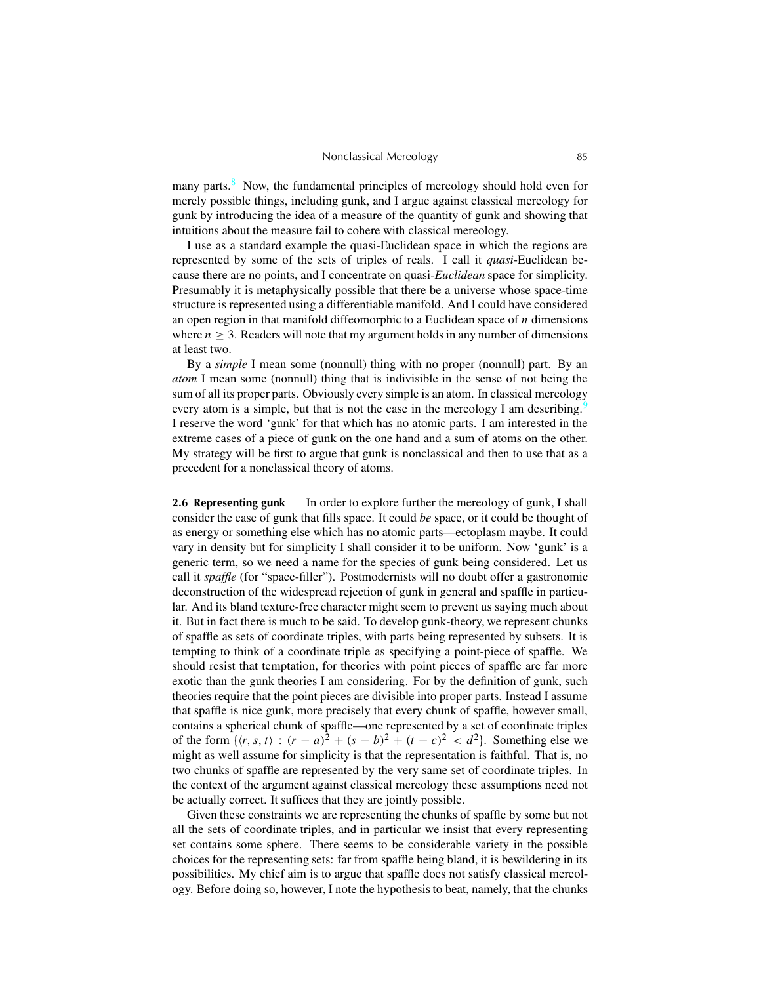<span id="page-6-0"></span>many parts. $8\,$  $8\,$  Now, the fundamental principles of mereology should hold even for merely possible things, including gunk, and I argue against classical mereology for gunk by introducing the idea of a measure of the quantity of gunk and showing that intuitions about the measure fail to cohere with classical mereology.

I use as a standard example the quasi-Euclidean space in which the regions are represented by some of the sets of triples of reals. I call it *quasi*-Euclidean because there are no points, and I concentrate on quasi-*Euclidean* space for simplicity. Presumably it is metaphysically possible that there be a universe whose space-time structure is represented using a differentiable manifold. And I could have considered an open region in that manifold diffeomorphic to a Euclidean space of *n* dimensions where  $n \geq 3$ . Readers will note that my argument holds in any number of dimensions at least two.

By a *simple* I mean some (nonnull) thing with no proper (nonnull) part. By an *atom* I mean some (nonnull) thing that is indivisible in the sense of not being the sum of all its proper parts. Obviously every simple is an atom. In classical mereology every atom is a simple, but that is not the case in the mereology I am describing. I reserve the word 'gunk' for that which has no atomic parts. I am interested in the extreme cases of a piece of gunk on the one hand and a sum of atoms on the other. My strategy will be first to argue that gunk is nonclassical and then to use that as a precedent for a nonclassical theory of atoms.

**2.6 Representing gunk** In order to explore further the mereology of gunk, I shall consider the case of gunk that fills space. It could *be* space, or it could be thought of as energy or something else which has no atomic parts—ectoplasm maybe. It could vary in density but for simplicity I shall consider it to be uniform. Now 'gunk' is a generic term, so we need a name for the species of gunk being considered. Let us call it *spaffle* (for "space-filler"). Postmodernists will no doubt offer a gastronomic deconstruction of the widespread rejection of gunk in general and spaffle in particular. And its bland texture-free character might seem to prevent us saying much about it. But in fact there is much to be said. To develop gunk-theory, we represent chunks of spaffle as sets of coordinate triples, with parts being represented by subsets. It is tempting to think of a coordinate triple as specifying a point-piece of spaffle. We should resist that temptation, for theories with point pieces of spaffle are far more exotic than the gunk theories I am considering. For by the definition of gunk, such theories require that the point pieces are divisible into proper parts. Instead I assume that spaffle is nice gunk, more precisely that every chunk of spaffle, however small, contains a spherical chunk of spaffle—one represented by a set of coordinate triples of the form  $\{(r, s, t) : (r - a)^2 + (s - b)^2 + (t - c)^2 < d^2\}$ . Something else we might as well assume for simplicity is that the representation is faithful. That is, no two chunks of spaffle are represented by the very same set of coordinate triples. In the context of the argument against classical mereology these assumptions need not be actually correct. It suffices that they are jointly possible.

Given these constraints we are representing the chunks of spaffle by some but not all the sets of coordinate triples, and in particular we insist that every representing set contains some sphere. There seems to be considerable variety in the possible choices for the representing sets: far from spaffle being bland, it is bewildering in its possibilities. My chief aim is to argue that spaffle does not satisfy classical mereology. Before doing so, however, I note the hypothesis to beat, namely, that the chunks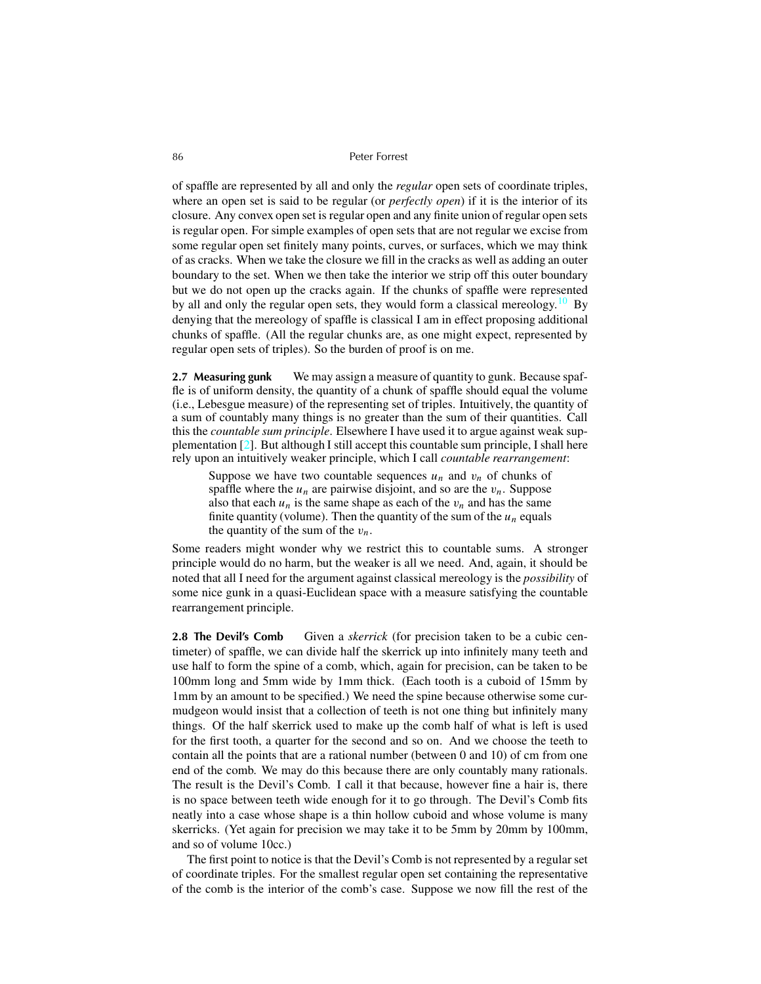<span id="page-7-0"></span>of spaffle are represented by all and only the *regular* open sets of coordinate triples, where an open set is said to be regular (or *perfectly open*) if it is the interior of its closure. Any convex open set is regular open and any finite union of regular open sets is regular open. For simple examples of open sets that are not regular we excise from some regular open set finitely many points, curves, or surfaces, which we may think of as cracks. When we take the closure we fill in the cracks as well as adding an outer boundary to the set. When we then take the interior we strip off this outer boundary but we do not open up the cracks again. If the chunks of spaffle were represented by all and only the regular open sets, they would form a classical mereology.<sup>[10](#page-14-0)</sup> By denying that the mereology of spaffle is classical I am in effect proposing additional chunks of spaffle. (All the regular chunks are, as one might expect, represented by regular open sets of triples). So the burden of proof is on me.

**2.7 Measuring gunk** We may assign a measure of quantity to gunk. Because spaffle is of uniform density, the quantity of a chunk of spaffle should equal the volume (i.e., Lebesgue measure) of the representing set of triples. Intuitively, the quantity of a sum of countably many things is no greater than the sum of their quantities. Call this the *countable sum principle*. Elsewhere I have used it to argue against weak supplementation [\[2](#page-15-0)]. But although I still accept this countable sum principle, I shall here rely upon an intuitively weaker principle, which I call *countable rearrangement*:

Suppose we have two countable sequences  $u_n$  and  $v_n$  of chunks of spaffle where the  $u_n$  are pairwise disjoint, and so are the  $v_n$ . Suppose also that each  $u_n$  is the same shape as each of the  $v_n$  and has the same finite quantity (volume). Then the quantity of the sum of the  $u_n$  equals the quantity of the sum of the  $v_n$ .

Some readers might wonder why we restrict this to countable sums. A stronger principle would do no harm, but the weaker is all we need. And, again, it should be noted that all I need for the argument against classical mereology is the *possibility* of some nice gunk in a quasi-Euclidean space with a measure satisfying the countable rearrangement principle.

**2.8 The Devil's Comb** Given a *skerrick* (for precision taken to be a cubic centimeter) of spaffle, we can divide half the skerrick up into infinitely many teeth and use half to form the spine of a comb, which, again for precision, can be taken to be 100mm long and 5mm wide by 1mm thick. (Each tooth is a cuboid of 15mm by 1mm by an amount to be specified.) We need the spine because otherwise some curmudgeon would insist that a collection of teeth is not one thing but infinitely many things. Of the half skerrick used to make up the comb half of what is left is used for the first tooth, a quarter for the second and so on. And we choose the teeth to contain all the points that are a rational number (between 0 and 10) of cm from one end of the comb. We may do this because there are only countably many rationals. The result is the Devil's Comb. I call it that because, however fine a hair is, there is no space between teeth wide enough for it to go through. The Devil's Comb fits neatly into a case whose shape is a thin hollow cuboid and whose volume is many skerricks. (Yet again for precision we may take it to be 5mm by 20mm by 100mm, and so of volume 10cc.)

The first point to notice is that the Devil's Comb is not represented by a regular set of coordinate triples. For the smallest regular open set containing the representative of the comb is the interior of the comb's case. Suppose we now fill the rest of the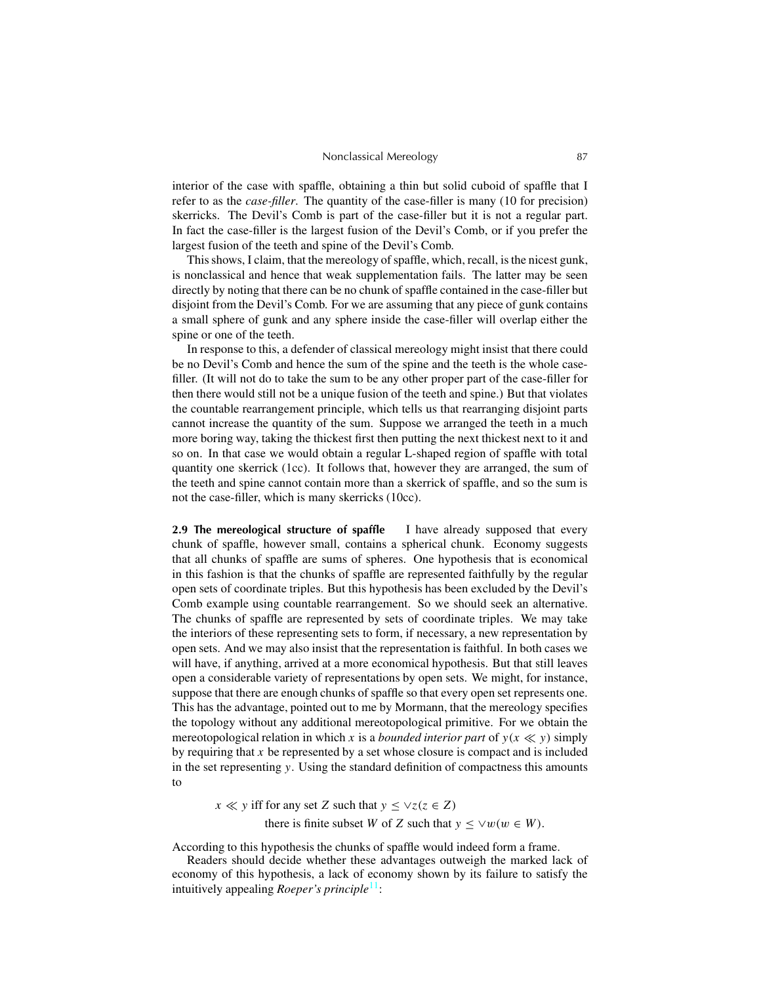#### Nonclassical Mereology 87

<span id="page-8-0"></span>interior of the case with spaffle, obtaining a thin but solid cuboid of spaffle that I refer to as the *case-filler*. The quantity of the case-filler is many (10 for precision) skerricks. The Devil's Comb is part of the case-filler but it is not a regular part. In fact the case-filler is the largest fusion of the Devil's Comb, or if you prefer the largest fusion of the teeth and spine of the Devil's Comb.

This shows, I claim, that the mereology of spaffle, which, recall, is the nicest gunk, is nonclassical and hence that weak supplementation fails. The latter may be seen directly by noting that there can be no chunk of spaffle contained in the case-filler but disjoint from the Devil's Comb. For we are assuming that any piece of gunk contains a small sphere of gunk and any sphere inside the case-filler will overlap either the spine or one of the teeth.

In response to this, a defender of classical mereology might insist that there could be no Devil's Comb and hence the sum of the spine and the teeth is the whole casefiller. (It will not do to take the sum to be any other proper part of the case-filler for then there would still not be a unique fusion of the teeth and spine.) But that violates the countable rearrangement principle, which tells us that rearranging disjoint parts cannot increase the quantity of the sum. Suppose we arranged the teeth in a much more boring way, taking the thickest first then putting the next thickest next to it and so on. In that case we would obtain a regular L-shaped region of spaffle with total quantity one skerrick (1cc). It follows that, however they are arranged, the sum of the teeth and spine cannot contain more than a skerrick of spaffle, and so the sum is not the case-filler, which is many skerricks (10cc).

**2.9 The mereological structure of spaffle** I have already supposed that every chunk of spaffle, however small, contains a spherical chunk. Economy suggests that all chunks of spaffle are sums of spheres. One hypothesis that is economical in this fashion is that the chunks of spaffle are represented faithfully by the regular open sets of coordinate triples. But this hypothesis has been excluded by the Devil's Comb example using countable rearrangement. So we should seek an alternative. The chunks of spaffle are represented by sets of coordinate triples. We may take the interiors of these representing sets to form, if necessary, a new representation by open sets. And we may also insist that the representation is faithful. In both cases we will have, if anything, arrived at a more economical hypothesis. But that still leaves open a considerable variety of representations by open sets. We might, for instance, suppose that there are enough chunks of spaffle so that every open set represents one. This has the advantage, pointed out to me by Mormann, that the mereology specifies the topology without any additional mereotopological primitive. For we obtain the mereotopological relation in which *x* is a *bounded* interior part of  $y(x \ll y)$  simply by requiring that *x* be represented by a set whose closure is compact and is included in the set representing *y*. Using the standard definition of compactness this amounts to

*x*  $\ll$  *y* iff for any set *Z* such that *y* ≤  $\lor$ *z*(*z* ∈ *Z*)

there is finite subset *W* of *Z* such that  $y \leq \forall w (w \in W)$ .

According to this hypothesis the chunks of spaffle would indeed form a frame.

Readers should decide whether these advantages outweigh the marked lack of economy of this hypothesis, a lack of economy shown by its failure to satisfy the intuitively appealing *Roeper's principle*[11](#page-14-0):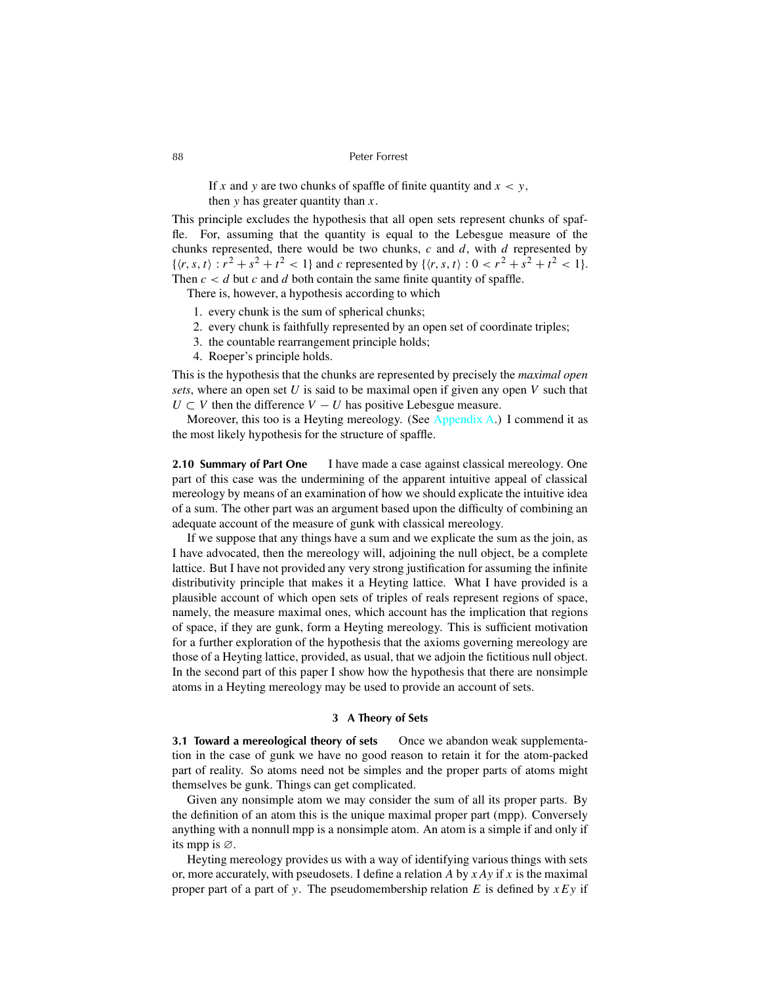If *x* and *y* are two chunks of spaffle of finite quantity and  $x < y$ , then *y* has greater quantity than *x*.

This principle excludes the hypothesis that all open sets represent chunks of spaffle. For, assuming that the quantity is equal to the Lebesgue measure of the chunks represented, there would be two chunks, *c* and *d*, with *d* represented by  $\{(r, s, t) : r^2 + s^2 + t^2 < 1\}$  and *c* represented by  $\{(r, s, t) : 0 < r^2 + s^2 + t^2 < 1\}.$ Then  $c < d$  but  $c$  and  $d$  both contain the same finite quantity of spaffle.

There is, however, a hypothesis according to which

- 1. every chunk is the sum of spherical chunks;
- 2. every chunk is faithfully represented by an open set of coordinate triples;
- 3. the countable rearrangement principle holds;
- 4. Roeper's principle holds.

This is the hypothesis that the chunks are represented by precisely the *maximal open sets*, where an open set *U* is said to be maximal open if given any open *V* such that *U*  $\subset$  *V* then the difference *V* − *U* has positive Lebesgue measure.

Moreover, this too is a Heyting mereology. (See [Appendix](#page-12-0) A.) I commend it as the most likely hypothesis for the structure of spaffle.

**2.10 Summary of Part One** I have made a case against classical mereology. One part of this case was the undermining of the apparent intuitive appeal of classical mereology by means of an examination of how we should explicate the intuitive idea of a sum. The other part was an argument based upon the difficulty of combining an adequate account of the measure of gunk with classical mereology.

If we suppose that any things have a sum and we explicate the sum as the join, as I have advocated, then the mereology will, adjoining the null object, be a complete lattice. But I have not provided any very strong justification for assuming the infinite distributivity principle that makes it a Heyting lattice. What I have provided is a plausible account of which open sets of triples of reals represent regions of space, namely, the measure maximal ones, which account has the implication that regions of space, if they are gunk, form a Heyting mereology. This is sufficient motivation for a further exploration of the hypothesis that the axioms governing mereology are those of a Heyting lattice, provided, as usual, that we adjoin the fictitious null object. In the second part of this paper I show how the hypothesis that there are nonsimple atoms in a Heyting mereology may be used to provide an account of sets.

## **3 A Theory of Sets**

**3.1 Toward a mereological theory of sets** Once we abandon weak supplementation in the case of gunk we have no good reason to retain it for the atom-packed part of reality. So atoms need not be simples and the proper parts of atoms might themselves be gunk. Things can get complicated.

Given any nonsimple atom we may consider the sum of all its proper parts. By the definition of an atom this is the unique maximal proper part (mpp). Conversely anything with a nonnull mpp is a nonsimple atom. An atom is a simple if and only if its mpp is ∅.

Heyting mereology provides us with a way of identifying various things with sets or, more accurately, with pseudosets. I define a relation *A* by *x Ay* if *x* is the maximal proper part of a part of *y*. The pseudomembership relation  $E$  is defined by  $xEy$  if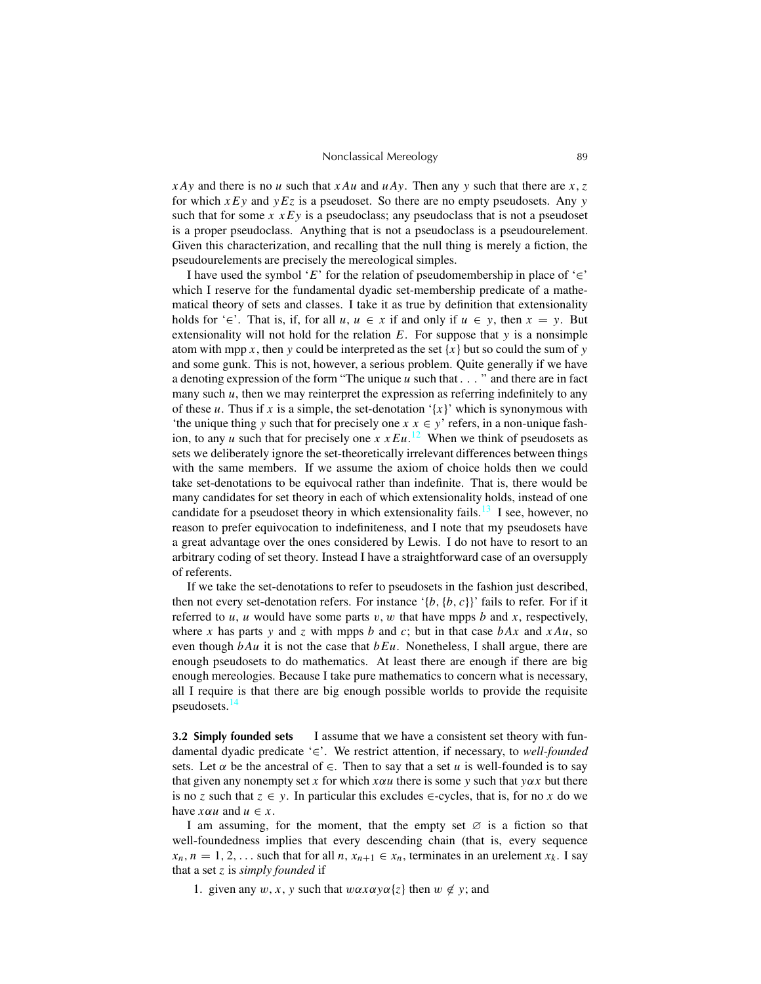<span id="page-10-0"></span>*xAy* and there is no *u* such that *xAu* and *uAy*. Then any *y* such that there are *x*, *z* for which *x Ey* and *yEz* is a pseudoset. So there are no empty pseudosets. Any *y* such that for some  $x \times Ey$  is a pseudoclass; any pseudoclass that is not a pseudoset is a proper pseudoclass. Anything that is not a pseudoclass is a pseudourelement. Given this characterization, and recalling that the null thing is merely a fiction, the pseudourelements are precisely the mereological simples.

I have used the symbol '*E*' for the relation of pseudomembership in place of ' $\in$ ' which I reserve for the fundamental dyadic set-membership predicate of a mathematical theory of sets and classes. I take it as true by definition that extensionality holds for '∈'. That is, if, for all *u*,  $u \in x$  if and only if  $u \in y$ , then  $x = y$ . But extensionality will not hold for the relation *E*. For suppose that *y* is a nonsimple atom with mpp *x*, then *y* could be interpreted as the set  $\{x\}$  but so could the sum of *y* and some gunk. This is not, however, a serious problem. Quite generally if we have a denoting expression of the form "The unique *u* such that . . . " and there are in fact many such  $u$ , then we may reinterpret the expression as referring indefinitely to any of these  $u$ . Thus if  $x$  is a simple, the set-denotation ' $\{x\}$ ' which is synonymous with 'the unique thing *y* such that for precisely one  $x \times \in y$ ' refers, in a non-unique fashion, to any *u* such that for precisely one *x*  $x E u$ .<sup>[12](#page-14-0)</sup> When we think of pseudosets as sets we deliberately ignore the set-theoretically irrelevant differences between things with the same members. If we assume the axiom of choice holds then we could take set-denotations to be equivocal rather than indefinite. That is, there would be many candidates for set theory in each of which extensionality holds, instead of one candidate for a pseudoset theory in which extensionality fails.<sup>[13](#page-14-0)</sup> I see, however, no reason to prefer equivocation to indefiniteness, and I note that my pseudosets have a great advantage over the ones considered by Lewis. I do not have to resort to an arbitrary coding of set theory. Instead I have a straightforward case of an oversupply of referents.

If we take the set-denotations to refer to pseudosets in the fashion just described, then not every set-denotation refers. For instance ' ${b, {b, c}}$ ' fails to refer. For if it referred to  $u$ ,  $u$  would have some parts  $v$ ,  $w$  that have mpps  $b$  and  $x$ , respectively, where *x* has parts *y* and *z* with mpps *b* and *c*; but in that case  $bAx$  and  $xAu$ , so even though  $bAu$  it is not the case that  $bEu$ . Nonetheless, I shall argue, there are enough pseudosets to do mathematics. At least there are enough if there are big enough mereologies. Because I take pure mathematics to concern what is necessary, all I require is that there are big enough possible worlds to provide the requisite pseudosets.

**3.2 Simply founded sets** I assume that we have a consistent set theory with fundamental dyadic predicate '∈'. We restrict attention, if necessary, to *well-founded* sets. Let  $\alpha$  be the ancestral of  $\in$ . Then to say that a set *u* is well-founded is to say that given any nonempty set *x* for which  $x \alpha u$  there is some *y* such that  $y \alpha x$  but there is no *z* such that *z* ∈ *y*. In particular this excludes ∈-cycles, that is, for no *x* do we have  $x \alpha u$  and  $u \in x$ .

I am assuming, for the moment, that the empty set  $\varnothing$  is a fiction so that well-foundedness implies that every descending chain (that is, every sequence  $x_n$ ,  $n = 1, 2, \ldots$  such that for all  $n, x_{n+1} \in x_n$ , terminates in an urelement  $x_k$ . I say that a set *z* is *simply founded* if

1. given any  $w, x, y$  such that  $w\alpha x \alpha y \alpha \{z\}$  then  $w \notin y$ ; and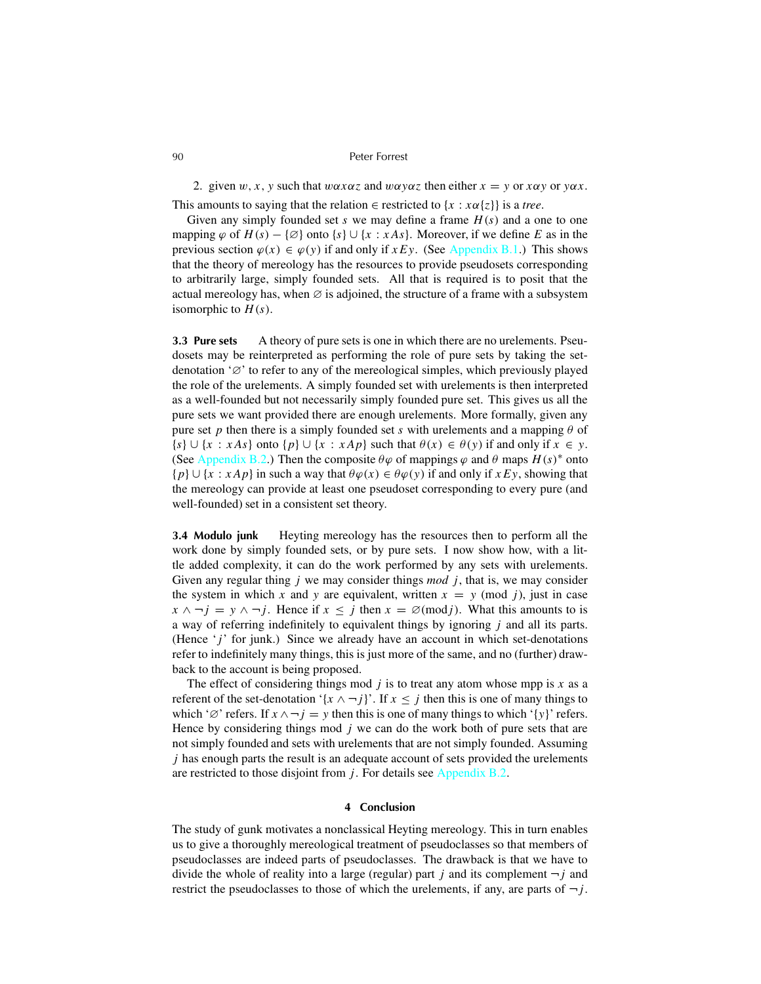2. given  $w, x, y$  such that  $w\alpha x\alpha z$  and  $w\alpha y\alpha z$  then either  $x = y$  or  $x\alpha y$  or  $y\alpha x$ . This amounts to saying that the relation  $\in$  restricted to  $\{x : x \alpha \{z\}\}\)$  is a *tree*.

Given any simply founded set *s* we may define a frame  $H(s)$  and a one to one mapping  $\varphi$  of  $H(s) - {\varnothing}$  onto  $\{s\} \cup \{x : x \leq A s\}$ . Moreover, if we define *E* as in the previous section  $\varphi(x) \in \varphi(y)$  if and only if *xEy*. (See [Appendix](#page-12-0) B.1.) This shows that the theory of mereology has the resources to provide pseudosets corresponding to arbitrarily large, simply founded sets. All that is required is to posit that the actual mereology has, when  $\varnothing$  is adjoined, the structure of a frame with a subsystem isomorphic to  $H(s)$ .

**3.3 Pure sets** A theory of pure sets is one in which there are no urelements. Pseudosets may be reinterpreted as performing the role of pure sets by taking the setdenotation '∅' to refer to any of the mereological simples, which previously played the role of the urelements. A simply founded set with urelements is then interpreted as a well-founded but not necessarily simply founded pure set. This gives us all the pure sets we want provided there are enough urelements. More formally, given any pure set *p* then there is a simply founded set *s* with urelements and a mapping  $\theta$  of  ${s} \cup {x : x \leq x}$  onto  ${p} \cup {x : x \leq p}$  such that  $\theta(x) \in \theta(y)$  if and only if  $x \in y$ . (See [Appendix](#page-13-0) B.2.) Then the composite  $\theta\varphi$  of mappings  $\varphi$  and  $\theta$  maps  $H(s)^*$  onto  ${p} \cup {x : xAp}$  in such a way that  $\theta \varphi(x) \in \theta \varphi(y)$  if and only if  $xEy$ , showing that the mereology can provide at least one pseudoset corresponding to every pure (and well-founded) set in a consistent set theory.

**3.4 Modulo junk** Heyting mereology has the resources then to perform all the work done by simply founded sets, or by pure sets. I now show how, with a little added complexity, it can do the work performed by any sets with urelements. Given any regular thing *j* we may consider things *mod j*, that is, we may consider the system in which *x* and *y* are equivalent, written  $x = y \pmod{j}$ , just in case  $x \wedge \neg j = y \wedge \neg j$ . Hence if  $x \leq j$  then  $x = \emptyset \pmod{j}$ . What this amounts to is a way of referring indefinitely to equivalent things by ignoring *j* and all its parts. (Hence '*j*' for junk.) Since we already have an account in which set-denotations refer to indefinitely many things, this is just more of the same, and no (further) drawback to the account is being proposed.

The effect of considering things mod  $j$  is to treat any atom whose mpp is  $x$  as a referent of the set-denotation '{ $x \wedge \neg j$ }'. If  $x \leq j$  then this is one of many things to which ' $\emptyset$ ' refers. If  $x \wedge \neg i = y$  then this is one of many things to which '{*y*}' refers. Hence by considering things mod *j* we can do the work both of pure sets that are not simply founded and sets with urelements that are not simply founded. Assuming *j* has enough parts the result is an adequate account of sets provided the urelements are restricted to those disjoint from  $j$ . For details see [Appendix](#page-13-0) B.2.

## **4 Conclusion**

The study of gunk motivates a nonclassical Heyting mereology. This in turn enables us to give a thoroughly mereological treatment of pseudoclasses so that members of pseudoclasses are indeed parts of pseudoclasses. The drawback is that we have to divide the whole of reality into a large (regular) part *j* and its complement  $\neg j$  and restrict the pseudoclasses to those of which the urelements, if any, are parts of  $\neg j$ .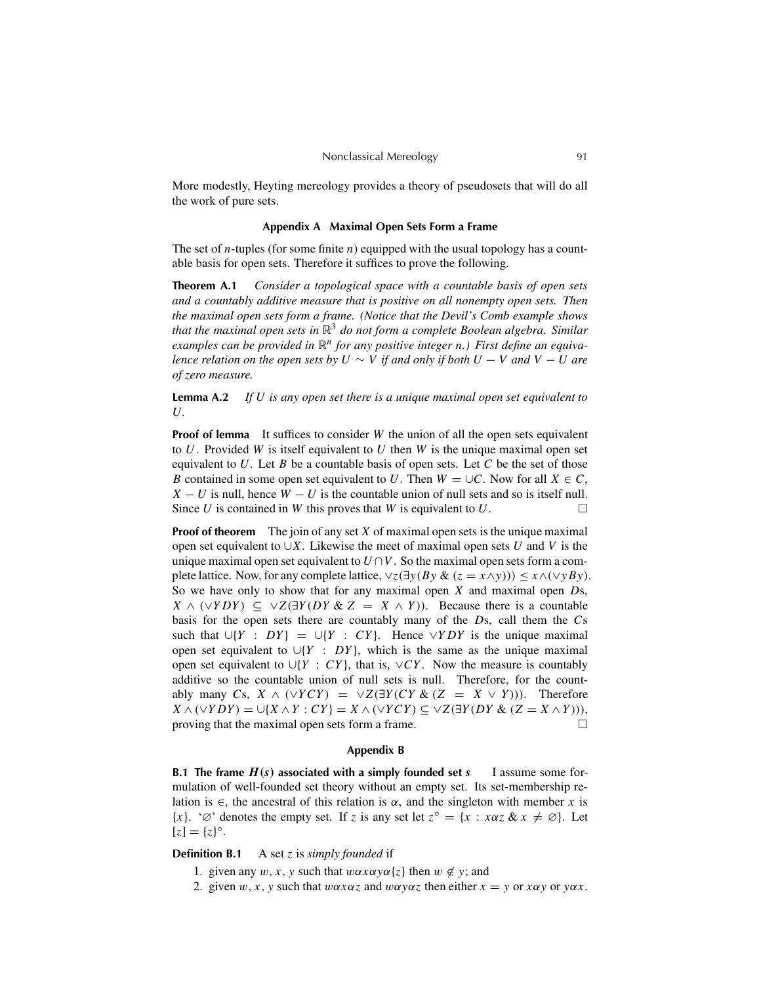<span id="page-12-0"></span>More modestly, Heyting mereology provides a theory of pseudosets that will do all the work of pure sets.

## **Appendix A Maximal Open Sets Form a Frame**

The set of *n*-tuples (for some finite *n*) equipped with the usual topology has a countable basis for open sets. Therefore it suffices to prove the following.

**Theorem A.1** *Consider a topological space with a countable basis of open sets and a countably additive measure that is positive on all nonempty open sets. Then the maximal open sets form a frame. (Notice that the Devil's Comb example shows that the maximal open sets in* R <sup>3</sup> *do not form a complete Boolean algebra. Similar examples* can be provided in  $\mathbb{R}^n$  for any positive integer n.) First define an equiva*lence* relation on the open sets by  $U \sim V$  if and only if both  $U - V$  and  $V - U$  are *of zero measure.*

**Lemma A.2** *If U is any open set there is a unique maximal open set equivalent to U.*

**Proof of lemma** It suffices to consider *W* the union of all the open sets equivalent to  $U$ . Provided  $W$  is itself equivalent to  $U$  then  $W$  is the unique maximal open set equivalent to *U*. Let *B* be a countable basis of open sets. Let *C* be the set of those *B* contained in some open set equivalent to *U*. Then  $W = \cup C$ . Now for all  $X \in C$ ,  $X - U$  is null, hence  $W - U$  is the countable union of null sets and so is itself null. Since *U* is contained in *W* this proves that *W* is equivalent to *U*.

**Proof of theorem** The join of any set *X* of maximal open sets is the unique maximal open set equivalent to ∪*X*. Likewise the meet of maximal open sets *U* and *V* is the unique maximal open set equivalent to  $U \cap V$ . So the maximal open sets form a complete lattice. Now, for any complete lattice,  $\vee z(\exists y(By \& (z = x \land y))) \le x \land (\vee yBy)$ . So we have only to show that for any maximal open *X* and maximal open *D*s, *X* ∧ (∨*YDY*) ⊆ ∨*Z*(∃*Y*(*DY* & *Z* = *X* ∧ *Y*)). Because there is a countable basis for the open sets there are countably many of the *D*s, call them the *C*s such that  $\bigcup \{Y : DY\} = \bigcup \{Y : CY\}$ . Hence  $\vee YDY$  is the unique maximal open set equivalent to  $\bigcup \{Y : DY\}$ , which is the same as the unique maximal open set equivalent to  $\bigcup \{Y : CY\}$ , that is,  $\vee CY$ . Now the measure is countably additive so the countable union of null sets is null. Therefore, for the countably many *Cs*,  $X \wedge (\vee YCY) = \vee Z(\exists Y(CY \& (Z = X \vee Y)))$ . Therefore *X* ∧ (∨*YDY* ) = ∪{*X* ∧ *Y* : *CY*} = *X* ∧ (∨*YCY* ) ⊆ ∨ *Z*(∃*Y*(*DY* & (*Z* = *X* ∧ *Y*))), proving that the maximal open sets form a frame.

#### **Appendix B**

**B.1** The frame  $H(s)$  associated with a simply founded set  $s$  I assume some formulation of well-founded set theory without an empty set. Its set-membership relation is  $\in$ , the ancestral of this relation is  $\alpha$ , and the singleton with member *x* is {*x*}. '∅' denotes the empty set. If *z* is any set let  $z^{\circ} = \{x : x \alpha z \& x \neq \emptyset\}$ . Let  $[z] = \{z\}^{\circ}.$ 

**Definition B.1** A set *z* is *simply founded* if

- 1. given any  $w, x, y$  such that  $w\alpha x \alpha y \alpha \{z\}$  then  $w \notin y$ ; and
- 2. given  $w, x, y$  such that  $w\alpha x\alpha z$  and  $w\alpha y\alpha z$  then either  $x = y$  or  $x\alpha y$  or  $y\alpha x$ .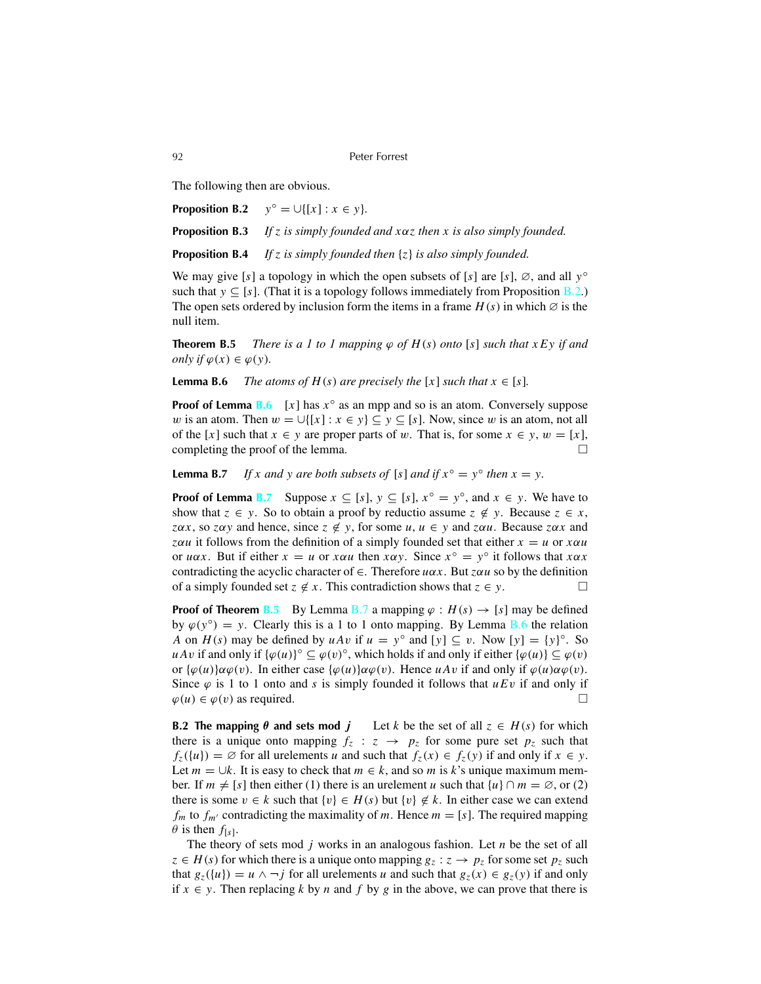The following then are obvious.

**Proposition B.2**  $y^{\circ} = \bigcup \{ [x] : x \in y \}.$ 

**Proposition B.3** *If z is simply founded and x*α*z then x is also simply founded.*

**Proposition B.4** *If z is simply founded then* {*z*} *is also simply founded.*

We may give [s] a topology in which the open subsets of [s] are [s],  $\varnothing$ , and all  $y^{\circ}$ such that  $y \subseteq [s]$ . (That it is a topology follows immediately from Proposition B.2.) The open sets ordered by inclusion form the items in a frame  $H(s)$  in which  $\emptyset$  is the null item.

**Theorem B.5** *There is a 1 to 1 mapping*  $\varphi$  *of*  $H(s)$  *onto* [s] *such that*  $x E y$  *if and only if*  $\varphi(x) \in \varphi(y)$ *.* 

**Lemma B.6** *The atoms of*  $H(s)$  *are precisely the* [*x*] *such that*  $x \in [s]$ *.* 

**Proof of Lemma B.6** [ $x$ ] has  $x^\circ$  as an mpp and so is an atom. Conversely suppose w is an atom. Then  $w = \bigcup \{ [x] : x \in y \} \subseteq y \subseteq [s]$ . Now, since w is an atom, not all of the [*x*] such that  $x \in y$  are proper parts of w. That is, for some  $x \in y$ ,  $w = [x]$ , completing the proof of the lemma.

**Lemma B.7** *If x and y are both subsets of* [*s*] *and if*  $x^\circ = y^\circ$  *then*  $x = y$ .

**Proof of Lemma B.7** Suppose  $x \subseteq [s]$ ,  $y \subseteq [s]$ ,  $x^{\circ} = y^{\circ}$ , and  $x \in y$ . We have to show that  $z \in y$ . So to obtain a proof by reductio assume  $z \notin y$ . Because  $z \in x$ , *z*α*x*, so *z*α*y* and hence, since  $z \notin y$ , for some  $u, u \in y$  and *z*α*u*. Because *z*α*x* and *z*α*u* it follows from the definition of a simply founded set that either  $x = u$  or  $x \alpha u$ or *u*α*x*. But if either  $x = u$  or  $x \alpha u$  then  $x \alpha y$ . Since  $x^{\circ} = y^{\circ}$  it follows that  $x \alpha x$ contradicting the acyclic character of ∈. Therefore *u*α*x*. But *z*α*u* so by the definition of a simply founded set  $z \notin x$ . This contradiction shows that  $z \in y$ .

**Proof** of **Theorem** B.5 By Lemma B.7 a mapping  $\varphi : H(s) \to [s]$  may be defined by  $\varphi(y^{\circ}) = y$ . Clearly this is a 1 to 1 onto mapping. By Lemma B.6 the relation *A* on *H*(*s*) may be defined by *uAv* if  $u = y^\circ$  and [*y*]  $\subseteq v$ . Now [*y*] = {*y*}<sup> $\circ$ </sup>. So  $uAv$  if and only if  $\{\varphi(u)\}^{\circ} \subseteq \varphi(v)^{\circ}$ , which holds if and only if either  $\{\varphi(u)\} \subseteq \varphi(v)$ or  $\{\varphi(u)\}\alpha\varphi(v)$ . In either case  $\{\varphi(u)\}\alpha\varphi(v)$ . Hence *uAv* if and only if  $\varphi(u)\alpha\varphi(v)$ . Since  $\varphi$  is 1 to 1 onto and *s* is simply founded it follows that  $uEv$  if and only if  $\varphi(u) \in \varphi(v)$  as required.

**B.2 The mapping**  $\theta$  **and sets mod** *j* Let *k* be the set of all  $z \in H(s)$  for which there is a unique onto mapping  $f_z$  :  $z \rightarrow p_z$  for some pure set  $p_z$  such that  $f_z(\{u\}) = \emptyset$  for all urelements *u* and such that  $f_z(x) \in f_z(y)$  if and only if  $x \in y$ . Let  $m = \cup k$ . It is easy to check that  $m \in k$ , and so m is k's unique maximum member. If  $m \neq [s]$  then either (1) there is an urelement *u* such that  $\{u\} \cap m = \emptyset$ , or (2) there is some  $v \in k$  such that  $\{v\} \in H(s)$  but  $\{v\} \notin k$ . In either case we can extend  $f_m$  to  $f_{m'}$  contradicting the maximality of *m*. Hence  $m = [s]$ . The required mapping  $\theta$  is then  $f_{[s]}$ .

The theory of sets mod *j* works in an analogous fashion. Let *n* be the set of all *z* ∈ *H*(*s*) for which there is a unique onto mapping  $g_z$  :  $z$  →  $p_z$  for some set  $p_z$  such that  $g_z(\lbrace u \rbrace) = u \land \neg j$  for all urelements *u* and such that  $g_z(x) \in g_z(y)$  if and only if *x* ∈ *y*. Then replacing *k* by *n* and *f* by *g* in the above, we can prove that there is

<span id="page-13-0"></span>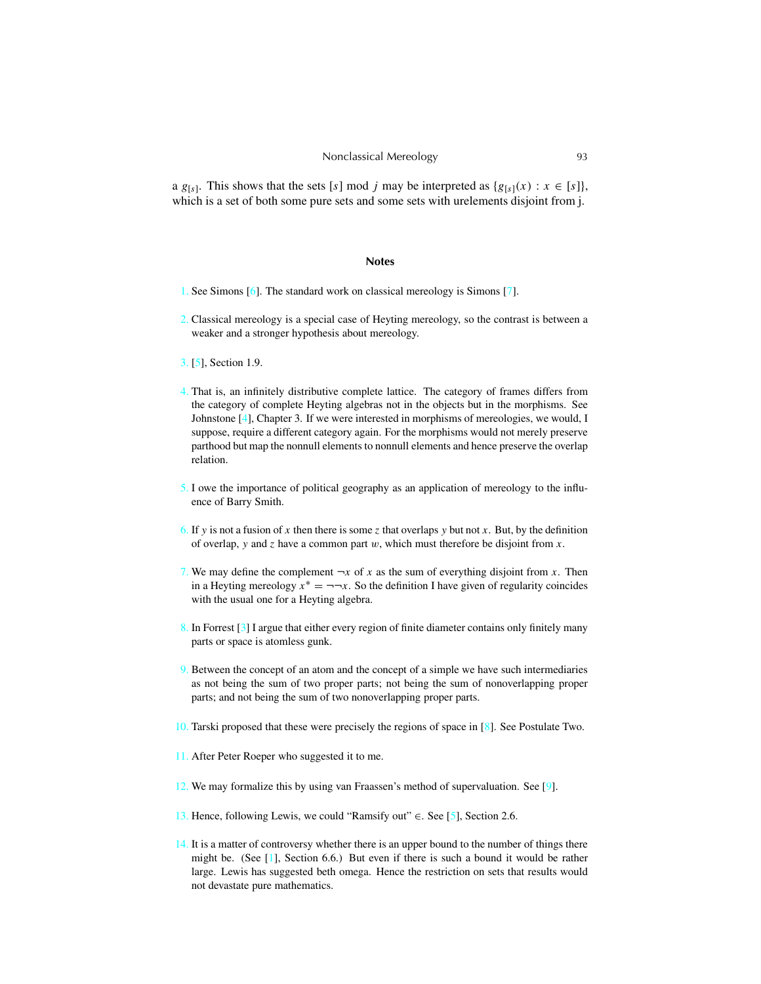<span id="page-14-0"></span>a  $g_{[s]}$ . This shows that the sets [*s*] mod *j* may be interpreted as  $\{g_{[s]}(x) : x \in [s]\},\$ which is a set of both some pure sets and some sets with urelements disjoint from j.

### **Notes**

- [1.](#page-0-0) See Simons [\[6\]](#page-15-0). The standard work on classical mereology is Simons [\[7](#page-15-0)].
- [2.](#page-0-0) Classical mereology is a special case of Heyting mereology, so the contrast is between a weaker and a stronger hypothesis about mereology.
- [3.](#page-0-0) [\[5\]](#page-15-0), Section 1.9.
- [4.](#page-0-0) That is, an infinitely distributive complete lattice. The category of frames differs from the category of complete Heyting algebras not in the objects but in the morphisms. See Johnstone [\[4](#page-15-0)], Chapter 3. If we were interested in morphisms of mereologies, we would, I suppose, require a different category again. For the morphisms would not merely preserve parthood but map the nonnull elements to nonnull elements and hence preserve the overlap relation.
- [5.](#page-1-0) I owe the importance of political geography as an application of mereology to the influence of Barry Smith.
- [6.](#page-4-0) If *y* is not a fusion of *x* then there is some *z* that overlaps *y* but not *x*. But, by the definition of overlap, *y* and *z* have a common part w, which must therefore be disjoint from *x*.
- [7.](#page-5-0) We may define the complement  $\neg x$  of x as the sum of everything disjoint from x. Then in a Heyting mereology  $x^* = \neg \neg x$ . So the definition I have given of regularity coincides with the usual one for a Heyting algebra.
- [8.](#page-6-0) In Forrest [\[3](#page-15-0)] I argue that either every region of finite diameter contains only finitely many parts or space is atomless gunk.
- [9.](#page-6-0) Between the concept of an atom and the concept of a simple we have such intermediaries as not being the sum of two proper parts; not being the sum of nonoverlapping proper parts; and not being the sum of two nonoverlapping proper parts.
- [10.](#page-7-0) Tarski proposed that these were precisely the regions of space in [\[8](#page-15-0)]. See Postulate Two.
- [11.](#page-8-0) After Peter Roeper who suggested it to me.
- [12.](#page-10-0) We may formalize this by using van Fraassen's method of supervaluation. See [\[9](#page-15-0)].
- [13.](#page-10-0) Hence, following Lewis, we could "Ramsify out" ∈. See [\[5\]](#page-15-0), Section 2.6.
- [14.](#page-10-0) It is a matter of controversy whether there is an upper bound to the number of things there might be. (See  $[1]$ , Section 6.6.) But even if there is such a bound it would be rather large. Lewis has suggested beth omega. Hence the restriction on sets that results would not devastate pure mathematics.